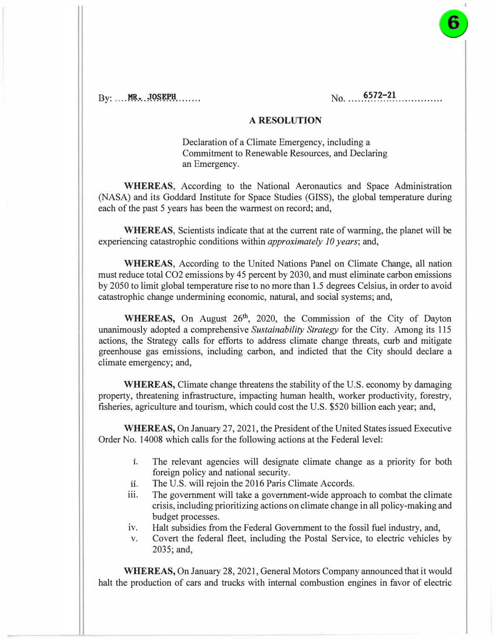$\mathrm{Bv}:$   $\mathbf{MR}$ , JOSEPH  $\ldots$ 

## **A RESOLUTION**

Declaration of a Climate Emergency, including a Commitment to Renewable Resources, and Declaring an Emergency.

**WHEREAS,** According to the National Aeronautics and Space Administration (NASA) and its Goddard Institute for Space Studies (GISS), the global temperature during each of the past 5 years has been the warmest on record; and,

**WHEREAS,** Scientists indicate that at the current rate of warming, the planet will be experiencing catastrophic conditions within *approximately 10 years;* and,

**WHEREAS,** According to the United Nations Panel on Climate Change, all nation must reduce total CO2 emissions by 45 percent by 2030, and must eliminate carbon emissions by 2050 to limit global temperature rise to no more than 1.5 degrees Celsius, in order to avoid catastrophic change undermining economic, natural, and social systems; and,

WHEREAS, On August 26<sup>th</sup>, 2020, the Commission of the City of Dayton unanimously adopted a comprehensive *Sustainability Strategy* for the City. Among its 115 actions, the Strategy calls for efforts to address climate change threats, curb and mitigate greenhouse gas emissions, including carbon, and indicted that the City should declare a climate emergency; and,

**WHEREAS,** Climate change threatens the stability of the U.S. economy by damaging property, threatening infrastructure, impacting human health, worker productivity, forestry, fisheries, agriculture and tourism, which could cost the U.S. \$520 billion each year; and,

**WHEREAS,** On January 27, 2021, the President of the United States issued Executive Order No. 14008 which calls for the following actions at the Federal level:

- **1.** The relevant agencies will designate climate change as a priority for both foreign policy and national security.
- **11.** The U.S. will rejoin the 2016 Paris Climate Accords.
- iii. The government will take a government-wide approach to combat the climate crisis, including prioritizing actions on climate change in all policy-making and budget processes.
- iv. Halt subsidies from the Federal Government to the fossil fuel industry, and,
- v. Covert the federal fleet, including the Postal Service, to electric vehicles by 2035; and,

**WHEREAS,** On January 28, 2021, General Motors Company announced that it would halt the production of cars and trucks with internal combustion engines in favor of electric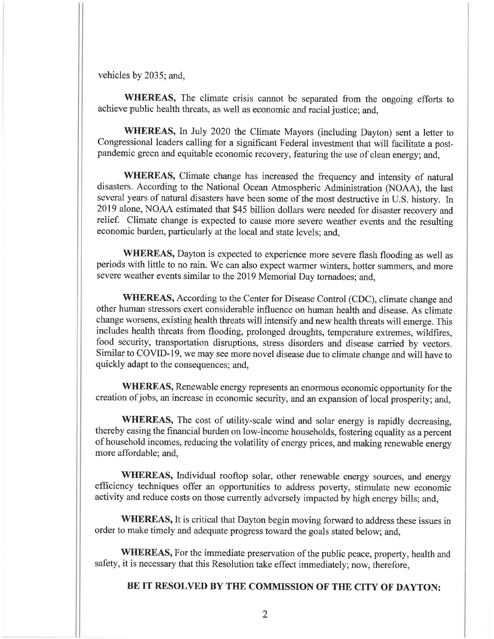vehicles by 2035; and,

WHEREAS, The climate crisis cannot be separated from the ongoing efforts to achieve public health threats, as well as economic and racial justice; and,

WHEREAS, In July 2020 the Climate Mayors (including Dayton) sent a letter to Congressional leaders calling for a significant Federal investment that will facilitate a postpandemic green and equitable economic recovery, featuring the use of clean energy; and,

WHEREAS, Climate change has increased the frequency and intensity of natural disasters. According to the National Ocean Atmospheric Administration (NOAA), the last several years of natural disasters have been some of the most destructive in U.S. history. In 2019 alone, NOAA estimated that \$45 billion dollars were needed for disaster recovery and relief. Climate change is expected to cause more severe weather events and the resulting economic burden, particularly at the local and state levels; and,

WHEREAS, Dayton is expected to experience more severe flash flooding as well as periods with little to no rain. We can also expect warmer winters, hotter summers, and more severe weather events similar to the 2019 Memorial Day tornadoes: and.

WHEREAS, According to the Center for Disease Control (CDC), climate change and other human stressors exert considerable influence on human health and disease. As climate change worsens, existing health threats will intensify and new health threats will emerge. This includes health threats from flooding, prolonged droughts, temperature extremes, wildfires, food security, transportation disruptions, stress disorders and disease carried by vectors. Similar to COVID-19, we may see more novel disease due to climate change and will have to quickly adapt to the consequences; and,

WHEREAS, Renewable energy represents an enormous economic opportunity for the creation of jobs, an increase in economic security, and an expansion of local prosperity; and,

WHEREAS, The cost of utility-scale wind and solar energy is rapidly decreasing, thereby easing the financial burden on low-income households, fostering equality as a percent of household incomes, reducing the volatility of energy prices, and making renewable energy more affordable; and,

WHEREAS, Individual rooftop solar, other renewable energy sources, and energy efficiency techniques offer an opportunities to address poverty, stimulate new economic activity and reduce costs on those currently adversely impacted by high energy bills; and,

WHEREAS, It is critical that Dayton begin moving forward to address these issues in order to make timely and adequate progress toward the goals stated below; and,

WHEREAS, For the immediate preservation of the public peace, property, health and safety, it is necessary that this Resolution take effect immediately; now, therefore,

## BE IT RESOLVED BY THE COMMISSION OF THE CITY OF DAYTON: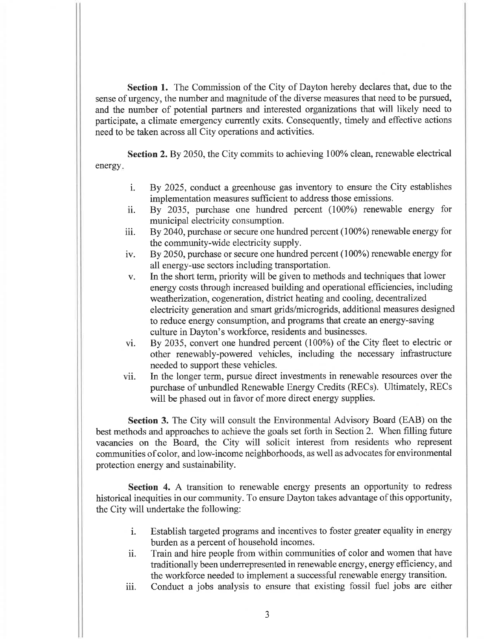**Section 1.** The Commission of the City of Dayton hereby declares that, due to the sense of urgency, the number and magnitude of the diverse measures that need to be pursued, and the number of potential partners and interested organizations that will likely need to participate, a climate emergency currently exits. Consequently, timely and effective actions need to be taken across all City operations and activities.

**Section 2.** By 2050, the City commits to achieving 100% clean, renewable electrical energy.

- By 2025, conduct a greenhouse gas inventory to ensure the City establishes  $\mathbf{i}$ . implementation measures sufficient to address those emissions.
- By 2035, purchase one hundred percent (100%) renewable energy for ii. municipal electricity consumption.
- By 2040, purchase or secure one hundred percent (100%) renewable energy for iii. the community-wide electricity supply.
- By 2050, purchase or secure one hundred percent (100%) renewable energy for iv. all energy-use sectors including transportation.
- In the short term, priority will be given to methods and techniques that lower  $V_{\star}$ energy costs through increased building and operational efficiencies, including weatherization, cogeneration, district heating and cooling, decentralized electricity generation and smart grids/microgrids, additional measures designed to reduce energy consumption, and programs that create an energy-saving culture in Dayton's workforce, residents and businesses.
- By 2035, convert one hundred percent (100%) of the City fleet to electric or vi. other renewably-powered vehicles, including the necessary infrastructure needed to support these vehicles.
- In the longer term, pursue direct investments in renewable resources over the vii. purchase of unbundled Renewable Energy Credits (RECs). Ultimately, RECs will be phased out in favor of more direct energy supplies.

**Section 3.** The City will consult the Environmental Advisory Board (EAB) on the best methods and approaches to achieve the goals set forth in Section 2. When filling future vacancies on the Board, the City will solicit interest from residents who represent communities of color, and low-income neighborhoods, as well as advocates for environmental protection energy and sustainability.

Section 4. A transition to renewable energy presents an opportunity to redress historical inequities in our community. To ensure Dayton takes advantage of this opportunity, the City will undertake the following:

- Establish targeted programs and incentives to foster greater equality in energy i. burden as a percent of household incomes.
- Train and hire people from within communities of color and women that have ii. traditionally been underrepresented in renewable energy, energy efficiency, and the workforce needed to implement a successful renewable energy transition.
- Conduct a jobs analysis to ensure that existing fossil fuel jobs are either iii.